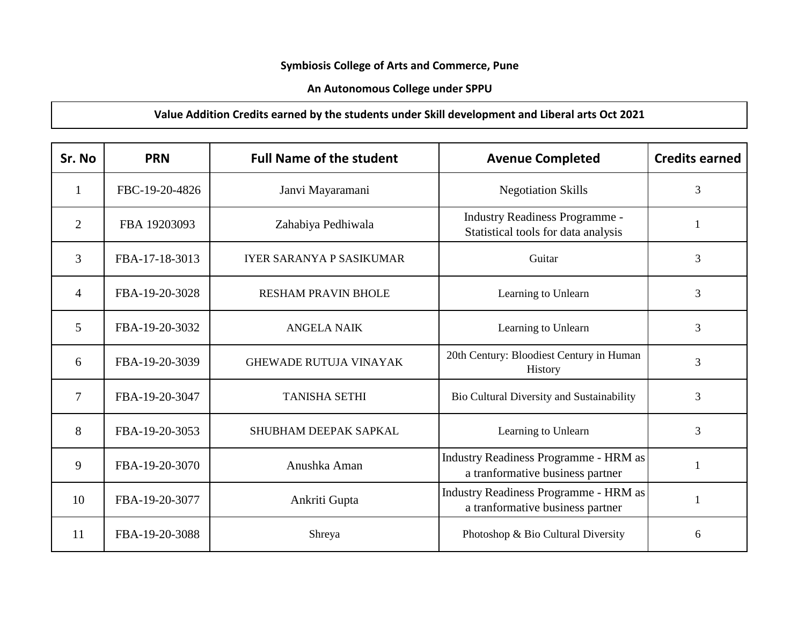## **Symbiosis College of Arts and Commerce, Pune**

## **An Autonomous College under SPPU**

## **Value Addition Credits earned by the students under Skill development and Liberal arts Oct 2021**

| Sr. No         | <b>PRN</b>     | <b>Full Name of the student</b> | <b>Avenue Completed</b>                                                          | <b>Credits earned</b> |
|----------------|----------------|---------------------------------|----------------------------------------------------------------------------------|-----------------------|
| $\mathbf{1}$   | FBC-19-20-4826 | Janvi Mayaramani                | <b>Negotiation Skills</b>                                                        | 3                     |
| 2              | FBA 19203093   | Zahabiya Pedhiwala              | <b>Industry Readiness Programme -</b><br>Statistical tools for data analysis     |                       |
| 3              | FBA-17-18-3013 | <b>IYER SARANYA P SASIKUMAR</b> | Guitar                                                                           | 3                     |
| $\overline{4}$ | FBA-19-20-3028 | <b>RESHAM PRAVIN BHOLE</b>      | Learning to Unlearn                                                              | 3                     |
| 5              | FBA-19-20-3032 | <b>ANGELA NAIK</b>              | Learning to Unlearn                                                              | 3                     |
| 6              | FBA-19-20-3039 | <b>GHEWADE RUTUJA VINAYAK</b>   | 20th Century: Bloodiest Century in Human<br>History                              | 3                     |
| 7              | FBA-19-20-3047 | <b>TANISHA SETHI</b>            | Bio Cultural Diversity and Sustainability                                        | 3                     |
| 8              | FBA-19-20-3053 | SHUBHAM DEEPAK SAPKAL           | Learning to Unlearn                                                              | 3                     |
| 9              | FBA-19-20-3070 | Anushka Aman                    | Industry Readiness Programme - HRM as<br>a tranformative business partner        |                       |
| 10             | FBA-19-20-3077 | Ankriti Gupta                   | <b>Industry Readiness Programme - HRM as</b><br>a tranformative business partner |                       |
| 11             | FBA-19-20-3088 | Shreya                          | Photoshop & Bio Cultural Diversity                                               | 6                     |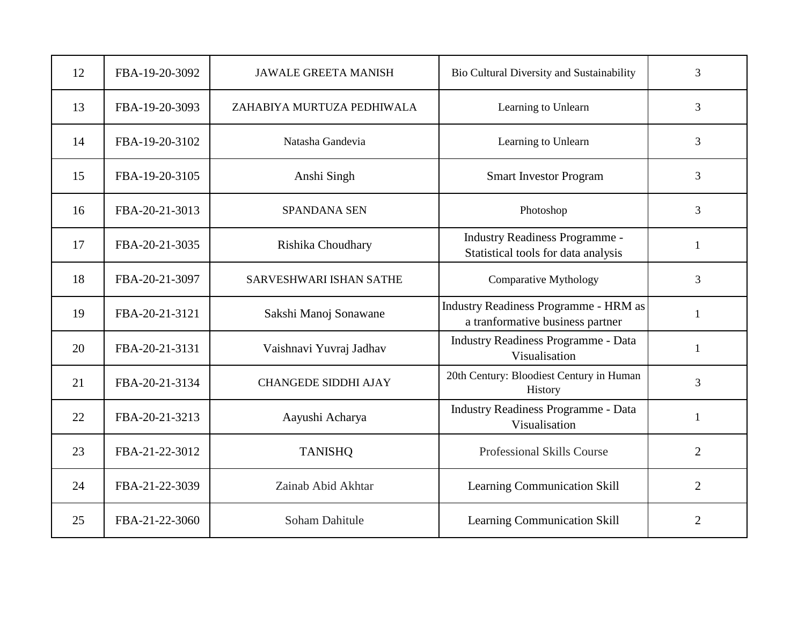| 12 | FBA-19-20-3092 | <b>JAWALE GREETA MANISH</b>    | Bio Cultural Diversity and Sustainability                                        | 3              |
|----|----------------|--------------------------------|----------------------------------------------------------------------------------|----------------|
| 13 | FBA-19-20-3093 | ZAHABIYA MURTUZA PEDHIWALA     | Learning to Unlearn                                                              | 3              |
| 14 | FBA-19-20-3102 | Natasha Gandevia               | Learning to Unlearn                                                              | 3              |
| 15 | FBA-19-20-3105 | Anshi Singh                    | <b>Smart Investor Program</b>                                                    | 3              |
| 16 | FBA-20-21-3013 | <b>SPANDANA SEN</b>            | Photoshop                                                                        | 3              |
| 17 | FBA-20-21-3035 | Rishika Choudhary              | <b>Industry Readiness Programme -</b><br>Statistical tools for data analysis     | 1              |
| 18 | FBA-20-21-3097 | <b>SARVESHWARI ISHAN SATHE</b> | <b>Comparative Mythology</b>                                                     | 3              |
| 19 | FBA-20-21-3121 | Sakshi Manoj Sonawane          | <b>Industry Readiness Programme - HRM as</b><br>a tranformative business partner | $\mathbf{1}$   |
| 20 | FBA-20-21-3131 | Vaishnavi Yuvraj Jadhav        | <b>Industry Readiness Programme - Data</b><br>Visualisation                      | 1              |
| 21 | FBA-20-21-3134 | <b>CHANGEDE SIDDHI AJAY</b>    | 20th Century: Bloodiest Century in Human<br>History                              | $\overline{3}$ |
| 22 | FBA-20-21-3213 | Aayushi Acharya                | <b>Industry Readiness Programme - Data</b><br>Visualisation                      | $\mathbf{1}$   |
| 23 | FBA-21-22-3012 | <b>TANISHQ</b>                 | Professional Skills Course                                                       | $\overline{2}$ |
| 24 | FBA-21-22-3039 | Zainab Abid Akhtar             | Learning Communication Skill                                                     | $\overline{2}$ |
| 25 | FBA-21-22-3060 | <b>Soham Dahitule</b>          | Learning Communication Skill                                                     | $\overline{2}$ |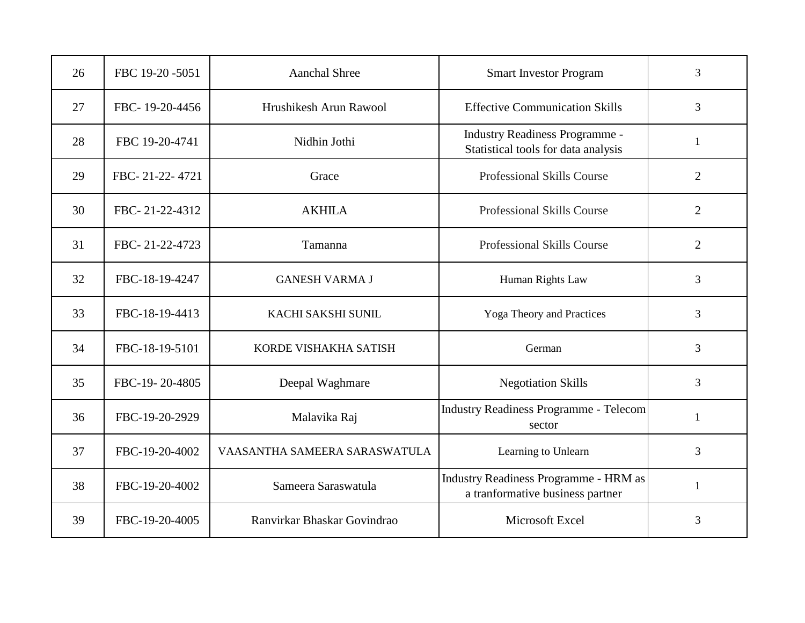| 26 | FBC 19-20 -5051 | <b>Aanchal Shree</b>          | <b>Smart Investor Program</b>                                                    | 3              |
|----|-----------------|-------------------------------|----------------------------------------------------------------------------------|----------------|
| 27 | FBC-19-20-4456  | Hrushikesh Arun Rawool        | <b>Effective Communication Skills</b>                                            | 3              |
| 28 | FBC 19-20-4741  | Nidhin Jothi                  | <b>Industry Readiness Programme -</b><br>Statistical tools for data analysis     | $\mathbf{1}$   |
| 29 | FBC-21-22-4721  | Grace                         | Professional Skills Course                                                       | $\overline{2}$ |
| 30 | FBC-21-22-4312  | <b>AKHILA</b>                 | <b>Professional Skills Course</b>                                                | $\overline{2}$ |
| 31 | FBC-21-22-4723  | Tamanna                       | <b>Professional Skills Course</b>                                                | $\overline{2}$ |
| 32 | FBC-18-19-4247  | <b>GANESH VARMA J</b>         | Human Rights Law                                                                 | $\overline{3}$ |
| 33 | FBC-18-19-4413  | KACHI SAKSHI SUNIL            | Yoga Theory and Practices                                                        | 3              |
| 34 | FBC-18-19-5101  | KORDE VISHAKHA SATISH         | German                                                                           | 3              |
| 35 | FBC-19-20-4805  | Deepal Waghmare               | <b>Negotiation Skills</b>                                                        | 3              |
| 36 | FBC-19-20-2929  | Malavika Raj                  | <b>Industry Readiness Programme - Telecom</b><br>sector                          | $\mathbf{1}$   |
| 37 | FBC-19-20-4002  | VAASANTHA SAMEERA SARASWATULA | Learning to Unlearn                                                              | 3              |
| 38 | FBC-19-20-4002  | Sameera Saraswatula           | <b>Industry Readiness Programme - HRM as</b><br>a tranformative business partner | $\mathbf{1}$   |
| 39 | FBC-19-20-4005  | Ranvirkar Bhaskar Govindrao   | Microsoft Excel                                                                  | 3              |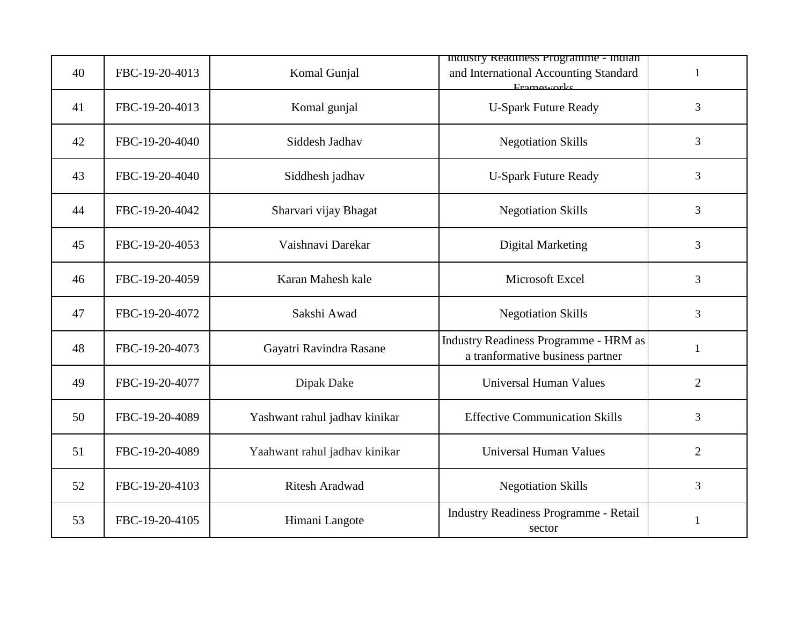| 40 | FBC-19-20-4013 | Komal Gunjal                  | maustry Readiness Programme - maian<br>and International Accounting Standard<br>Frameworks | $\mathbf{1}$   |
|----|----------------|-------------------------------|--------------------------------------------------------------------------------------------|----------------|
| 41 | FBC-19-20-4013 | Komal gunjal                  | <b>U-Spark Future Ready</b>                                                                | 3              |
| 42 | FBC-19-20-4040 | Siddesh Jadhav                | <b>Negotiation Skills</b>                                                                  | 3              |
| 43 | FBC-19-20-4040 | Siddhesh jadhav               | <b>U-Spark Future Ready</b>                                                                | 3              |
| 44 | FBC-19-20-4042 | Sharvari vijay Bhagat         | <b>Negotiation Skills</b>                                                                  | 3              |
| 45 | FBC-19-20-4053 | Vaishnavi Darekar             | <b>Digital Marketing</b>                                                                   | 3              |
| 46 | FBC-19-20-4059 | Karan Mahesh kale             | Microsoft Excel                                                                            | 3              |
| 47 | FBC-19-20-4072 | Sakshi Awad                   | <b>Negotiation Skills</b>                                                                  | 3              |
| 48 | FBC-19-20-4073 | Gayatri Ravindra Rasane       | <b>Industry Readiness Programme - HRM as</b><br>a tranformative business partner           | 1              |
| 49 | FBC-19-20-4077 | Dipak Dake                    | <b>Universal Human Values</b>                                                              | $\overline{2}$ |
| 50 | FBC-19-20-4089 | Yashwant rahul jadhav kinikar | <b>Effective Communication Skills</b>                                                      | 3              |
| 51 | FBC-19-20-4089 | Yaahwant rahul jadhav kinikar | <b>Universal Human Values</b>                                                              | $\overline{2}$ |
| 52 | FBC-19-20-4103 | <b>Ritesh Aradwad</b>         | <b>Negotiation Skills</b>                                                                  | $\overline{3}$ |
| 53 | FBC-19-20-4105 | Himani Langote                | <b>Industry Readiness Programme - Retail</b><br>sector                                     | 1              |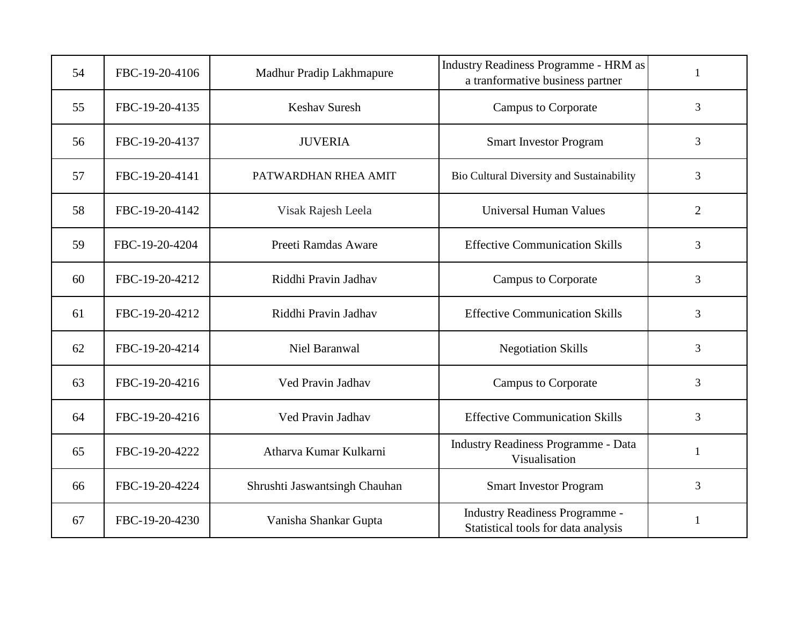| 54 | FBC-19-20-4106 | Madhur Pradip Lakhmapure      | <b>Industry Readiness Programme - HRM as</b><br>a tranformative business partner | 1              |
|----|----------------|-------------------------------|----------------------------------------------------------------------------------|----------------|
| 55 | FBC-19-20-4135 | <b>Keshav Suresh</b>          | <b>Campus to Corporate</b>                                                       | 3              |
| 56 | FBC-19-20-4137 | <b>JUVERIA</b>                | <b>Smart Investor Program</b>                                                    | 3              |
| 57 | FBC-19-20-4141 | PATWARDHAN RHEA AMIT          | Bio Cultural Diversity and Sustainability                                        | 3              |
| 58 | FBC-19-20-4142 | Visak Rajesh Leela            | <b>Universal Human Values</b>                                                    | $\overline{2}$ |
| 59 | FBC-19-20-4204 | Preeti Ramdas Aware           | <b>Effective Communication Skills</b>                                            | 3              |
| 60 | FBC-19-20-4212 | Riddhi Pravin Jadhav          | <b>Campus to Corporate</b>                                                       | 3              |
| 61 | FBC-19-20-4212 | Riddhi Pravin Jadhav          | <b>Effective Communication Skills</b>                                            | 3              |
| 62 | FBC-19-20-4214 | Niel Baranwal                 | <b>Negotiation Skills</b>                                                        | 3              |
| 63 | FBC-19-20-4216 | Ved Pravin Jadhav             | <b>Campus to Corporate</b>                                                       | 3              |
| 64 | FBC-19-20-4216 | Ved Pravin Jadhav             | <b>Effective Communication Skills</b>                                            | 3              |
| 65 | FBC-19-20-4222 | Atharva Kumar Kulkarni        | <b>Industry Readiness Programme - Data</b><br>Visualisation                      | $\mathbf{1}$   |
| 66 | FBC-19-20-4224 | Shrushti Jaswantsingh Chauhan | <b>Smart Investor Program</b>                                                    | 3              |
| 67 | FBC-19-20-4230 | Vanisha Shankar Gupta         | Industry Readiness Programme -<br>Statistical tools for data analysis            | $\mathbf{1}$   |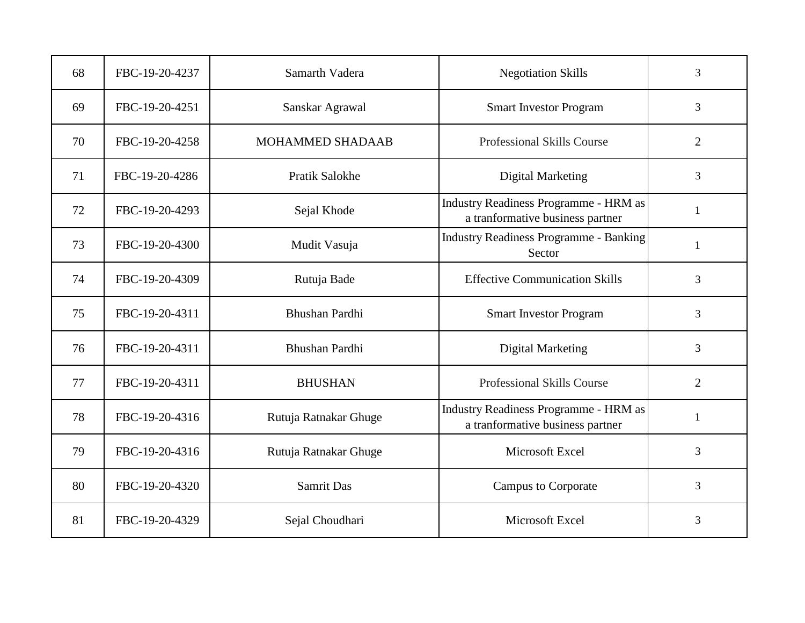| 68 | FBC-19-20-4237 | Samarth Vadera        | <b>Negotiation Skills</b>                                                        | $\overline{3}$ |
|----|----------------|-----------------------|----------------------------------------------------------------------------------|----------------|
| 69 | FBC-19-20-4251 | Sanskar Agrawal       | <b>Smart Investor Program</b>                                                    | 3              |
| 70 | FBC-19-20-4258 | MOHAMMED SHADAAB      | <b>Professional Skills Course</b>                                                | $\overline{2}$ |
| 71 | FBC-19-20-4286 | <b>Pratik Salokhe</b> | <b>Digital Marketing</b>                                                         | $\overline{3}$ |
| 72 | FBC-19-20-4293 | Sejal Khode           | <b>Industry Readiness Programme - HRM as</b><br>a tranformative business partner | $\mathbf{1}$   |
| 73 | FBC-19-20-4300 | Mudit Vasuja          | <b>Industry Readiness Programme - Banking</b><br>Sector                          | 1              |
| 74 | FBC-19-20-4309 | Rutuja Bade           | <b>Effective Communication Skills</b>                                            | $\overline{3}$ |
| 75 | FBC-19-20-4311 | Bhushan Pardhi        | <b>Smart Investor Program</b>                                                    | 3              |
| 76 | FBC-19-20-4311 | Bhushan Pardhi        | <b>Digital Marketing</b>                                                         | 3              |
| 77 | FBC-19-20-4311 | <b>BHUSHAN</b>        | <b>Professional Skills Course</b>                                                | $\overline{2}$ |
| 78 | FBC-19-20-4316 | Rutuja Ratnakar Ghuge | <b>Industry Readiness Programme - HRM as</b><br>a tranformative business partner | $\mathbf{1}$   |
| 79 | FBC-19-20-4316 | Rutuja Ratnakar Ghuge | Microsoft Excel                                                                  | 3              |
| 80 | FBC-19-20-4320 | <b>Samrit Das</b>     | <b>Campus to Corporate</b>                                                       | 3              |
| 81 | FBC-19-20-4329 | Sejal Choudhari       | Microsoft Excel                                                                  | 3              |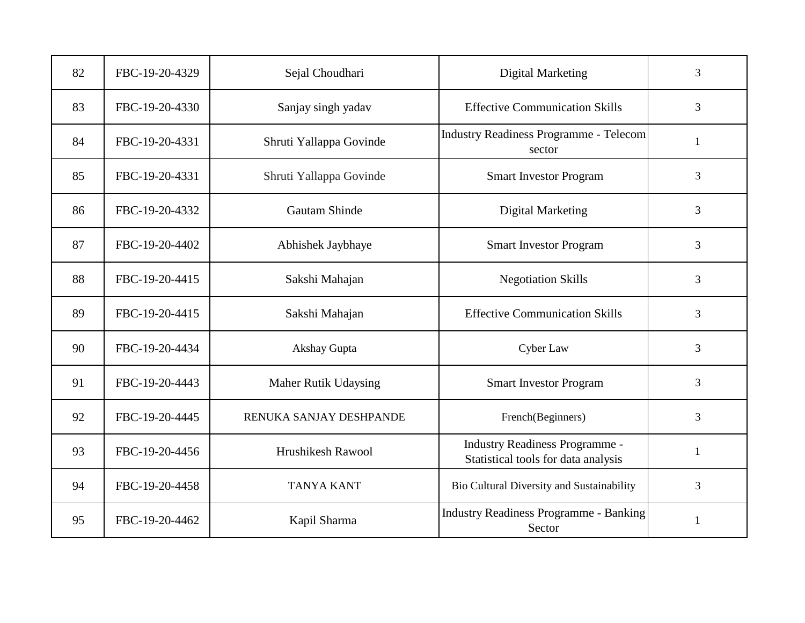| 82 | FBC-19-20-4329 | Sejal Choudhari         | <b>Digital Marketing</b>                                                     | 3            |
|----|----------------|-------------------------|------------------------------------------------------------------------------|--------------|
| 83 | FBC-19-20-4330 | Sanjay singh yadav      | <b>Effective Communication Skills</b>                                        | 3            |
| 84 | FBC-19-20-4331 | Shruti Yallappa Govinde | <b>Industry Readiness Programme - Telecom</b><br>sector                      | $\mathbf{1}$ |
| 85 | FBC-19-20-4331 | Shruti Yallappa Govinde | <b>Smart Investor Program</b>                                                | 3            |
| 86 | FBC-19-20-4332 | <b>Gautam Shinde</b>    | <b>Digital Marketing</b>                                                     | 3            |
| 87 | FBC-19-20-4402 | Abhishek Jaybhaye       | <b>Smart Investor Program</b>                                                | 3            |
| 88 | FBC-19-20-4415 | Sakshi Mahajan          | <b>Negotiation Skills</b>                                                    | 3            |
| 89 | FBC-19-20-4415 | Sakshi Mahajan          | <b>Effective Communication Skills</b>                                        | 3            |
| 90 | FBC-19-20-4434 | Akshay Gupta            | Cyber Law                                                                    | 3            |
| 91 | FBC-19-20-4443 | Maher Rutik Udaysing    | <b>Smart Investor Program</b>                                                | 3            |
| 92 | FBC-19-20-4445 | RENUKA SANJAY DESHPANDE | French(Beginners)                                                            | 3            |
| 93 | FBC-19-20-4456 | Hrushikesh Rawool       | <b>Industry Readiness Programme -</b><br>Statistical tools for data analysis | 1            |
| 94 | FBC-19-20-4458 | <b>TANYA KANT</b>       | Bio Cultural Diversity and Sustainability                                    | 3            |
| 95 | FBC-19-20-4462 | Kapil Sharma            | <b>Industry Readiness Programme - Banking</b><br>Sector                      | 1            |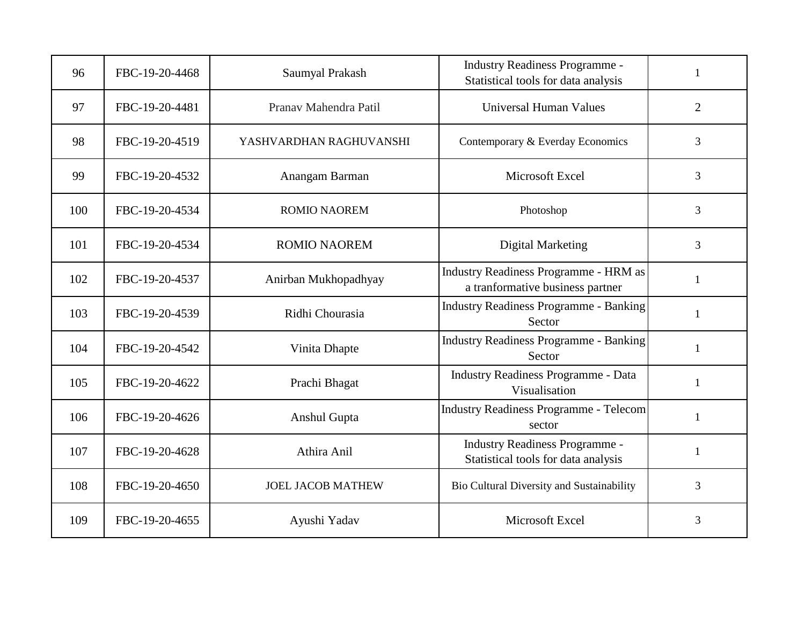| 96  | FBC-19-20-4468 | Saumyal Prakash          | <b>Industry Readiness Programme -</b><br>Statistical tools for data analysis | 1              |
|-----|----------------|--------------------------|------------------------------------------------------------------------------|----------------|
| 97  | FBC-19-20-4481 | Pranav Mahendra Patil    | <b>Universal Human Values</b>                                                | $\overline{2}$ |
| 98  | FBC-19-20-4519 | YASHVARDHAN RAGHUVANSHI  | Contemporary & Everday Economics                                             | 3              |
| 99  | FBC-19-20-4532 | Anangam Barman           | Microsoft Excel                                                              | $\overline{3}$ |
| 100 | FBC-19-20-4534 | <b>ROMIO NAOREM</b>      | Photoshop                                                                    | 3              |
| 101 | FBC-19-20-4534 | <b>ROMIO NAOREM</b>      | <b>Digital Marketing</b>                                                     | $\overline{3}$ |
| 102 | FBC-19-20-4537 | Anirban Mukhopadhyay     | Industry Readiness Programme - HRM as<br>a tranformative business partner    | $\mathbf{1}$   |
| 103 | FBC-19-20-4539 | Ridhi Chourasia          | <b>Industry Readiness Programme - Banking</b><br>Sector                      | $\mathbf{1}$   |
| 104 | FBC-19-20-4542 | Vinita Dhapte            | <b>Industry Readiness Programme - Banking</b><br>Sector                      | 1              |
| 105 | FBC-19-20-4622 | Prachi Bhagat            | <b>Industry Readiness Programme - Data</b><br>Visualisation                  | $\mathbf{1}$   |
| 106 | FBC-19-20-4626 | Anshul Gupta             | <b>Industry Readiness Programme - Telecom</b><br>sector                      | 1              |
| 107 | FBC-19-20-4628 | Athira Anil              | <b>Industry Readiness Programme -</b><br>Statistical tools for data analysis | 1              |
| 108 | FBC-19-20-4650 | <b>JOEL JACOB MATHEW</b> | Bio Cultural Diversity and Sustainability                                    | $\overline{3}$ |
| 109 | FBC-19-20-4655 | Ayushi Yadav             | Microsoft Excel                                                              | 3              |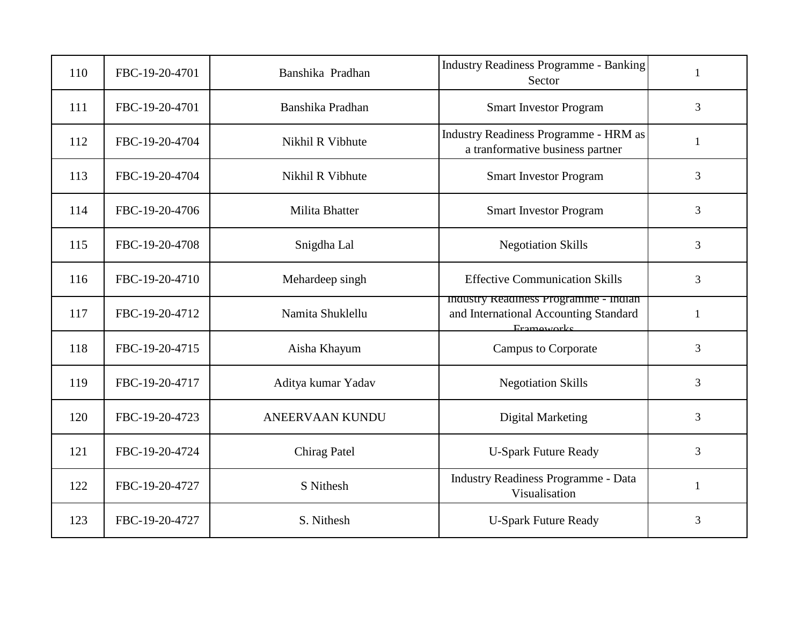| 110 | FBC-19-20-4701 | Banshika Pradhan    | <b>Industry Readiness Programme - Banking</b><br>Sector                                    | $\mathbf{1}$   |
|-----|----------------|---------------------|--------------------------------------------------------------------------------------------|----------------|
| 111 | FBC-19-20-4701 | Banshika Pradhan    | <b>Smart Investor Program</b>                                                              | 3              |
| 112 | FBC-19-20-4704 | Nikhil R Vibhute    | <b>Industry Readiness Programme - HRM as</b><br>a tranformative business partner           | 1              |
| 113 | FBC-19-20-4704 | Nikhil R Vibhute    | <b>Smart Investor Program</b>                                                              | 3              |
| 114 | FBC-19-20-4706 | Milita Bhatter      | <b>Smart Investor Program</b>                                                              | 3              |
| 115 | FBC-19-20-4708 | Snigdha Lal         | <b>Negotiation Skills</b>                                                                  | 3              |
| 116 | FBC-19-20-4710 | Mehardeep singh     | <b>Effective Communication Skills</b>                                                      | $\overline{3}$ |
| 117 | FBC-19-20-4712 | Namita Shuklellu    | maustry Readiness Programme - maian<br>and International Accounting Standard<br>Frameworks | $\mathbf{1}$   |
| 118 | FBC-19-20-4715 | Aisha Khayum        | <b>Campus to Corporate</b>                                                                 | 3              |
| 119 | FBC-19-20-4717 | Aditya kumar Yadav  | <b>Negotiation Skills</b>                                                                  | $\overline{3}$ |
| 120 | FBC-19-20-4723 | ANEERVAAN KUNDU     | <b>Digital Marketing</b>                                                                   | 3              |
| 121 | FBC-19-20-4724 | <b>Chirag Patel</b> | <b>U-Spark Future Ready</b>                                                                | 3              |
| 122 | FBC-19-20-4727 | S Nithesh           | Industry Readiness Programme - Data<br>Visualisation                                       | 1              |
| 123 | FBC-19-20-4727 | S. Nithesh          | <b>U-Spark Future Ready</b>                                                                | 3              |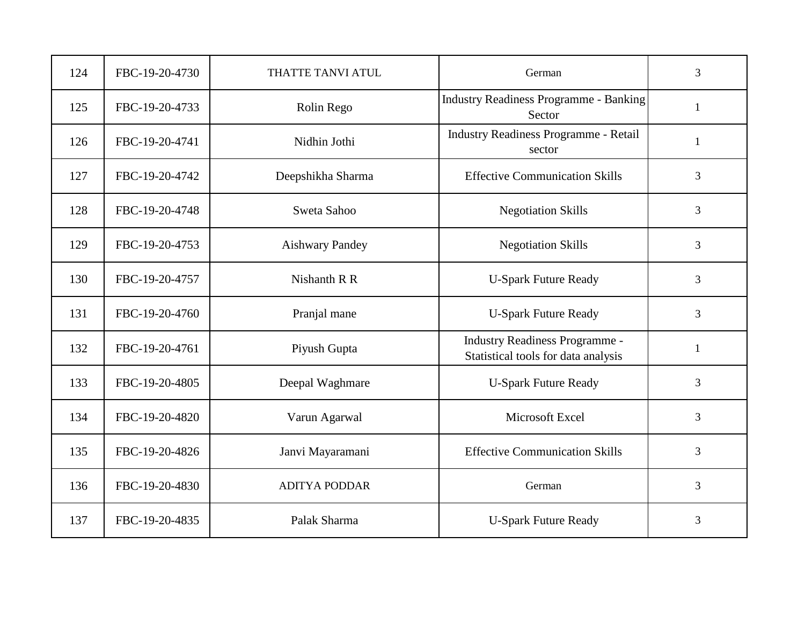| 124 | FBC-19-20-4730 | THATTE TANVI ATUL      | German                                                                       | 3 |
|-----|----------------|------------------------|------------------------------------------------------------------------------|---|
| 125 | FBC-19-20-4733 | Rolin Rego             | <b>Industry Readiness Programme - Banking</b><br>Sector                      | 1 |
| 126 | FBC-19-20-4741 | Nidhin Jothi           | Industry Readiness Programme - Retail<br>sector                              | 1 |
| 127 | FBC-19-20-4742 | Deepshikha Sharma      | <b>Effective Communication Skills</b>                                        | 3 |
| 128 | FBC-19-20-4748 | Sweta Sahoo            | <b>Negotiation Skills</b>                                                    | 3 |
| 129 | FBC-19-20-4753 | <b>Aishwary Pandey</b> | <b>Negotiation Skills</b>                                                    | 3 |
| 130 | FBC-19-20-4757 | Nishanth R R           | <b>U-Spark Future Ready</b>                                                  | 3 |
| 131 | FBC-19-20-4760 | Pranjal mane           | <b>U-Spark Future Ready</b>                                                  | 3 |
| 132 | FBC-19-20-4761 | Piyush Gupta           | <b>Industry Readiness Programme -</b><br>Statistical tools for data analysis | 1 |
| 133 | FBC-19-20-4805 | Deepal Waghmare        | <b>U-Spark Future Ready</b>                                                  | 3 |
| 134 | FBC-19-20-4820 | Varun Agarwal          | Microsoft Excel                                                              | 3 |
| 135 | FBC-19-20-4826 | Janvi Mayaramani       | <b>Effective Communication Skills</b>                                        | 3 |
| 136 | FBC-19-20-4830 | <b>ADITYA PODDAR</b>   | German                                                                       | 3 |
| 137 | FBC-19-20-4835 | Palak Sharma           | <b>U-Spark Future Ready</b>                                                  | 3 |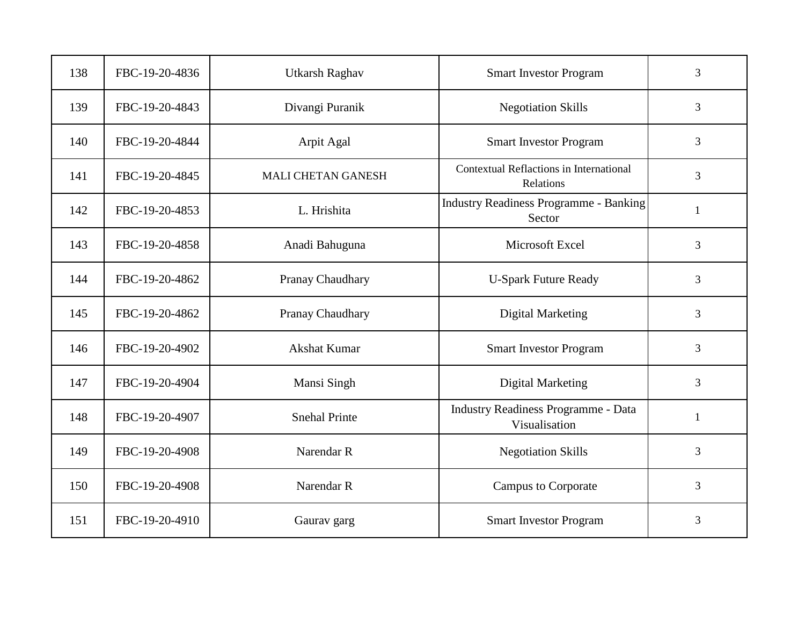| 138 | FBC-19-20-4836 | <b>Utkarsh Raghav</b>     | <b>Smart Investor Program</b>                           | 3              |
|-----|----------------|---------------------------|---------------------------------------------------------|----------------|
| 139 | FBC-19-20-4843 | Divangi Puranik           | <b>Negotiation Skills</b>                               | 3              |
| 140 | FBC-19-20-4844 | Arpit Agal                | <b>Smart Investor Program</b>                           | 3              |
| 141 | FBC-19-20-4845 | <b>MALI CHETAN GANESH</b> | Contextual Reflactions in International<br>Relations    | 3              |
| 142 | FBC-19-20-4853 | L. Hrishita               | <b>Industry Readiness Programme - Banking</b><br>Sector | $\mathbf{1}$   |
| 143 | FBC-19-20-4858 | Anadi Bahuguna            | Microsoft Excel                                         | 3              |
| 144 | FBC-19-20-4862 | Pranay Chaudhary          | <b>U-Spark Future Ready</b>                             | $\overline{3}$ |
| 145 | FBC-19-20-4862 | Pranay Chaudhary          | <b>Digital Marketing</b>                                | 3              |
| 146 | FBC-19-20-4902 | Akshat Kumar              | <b>Smart Investor Program</b>                           | 3              |
| 147 | FBC-19-20-4904 | Mansi Singh               | <b>Digital Marketing</b>                                | 3              |
| 148 | FBC-19-20-4907 | <b>Snehal Printe</b>      | Industry Readiness Programme - Data<br>Visualisation    | $\mathbf{1}$   |
| 149 | FBC-19-20-4908 | Narendar R                | <b>Negotiation Skills</b>                               | 3              |
| 150 | FBC-19-20-4908 | Narendar R                | <b>Campus to Corporate</b>                              | 3              |
| 151 | FBC-19-20-4910 | Gaurav garg               | <b>Smart Investor Program</b>                           | 3              |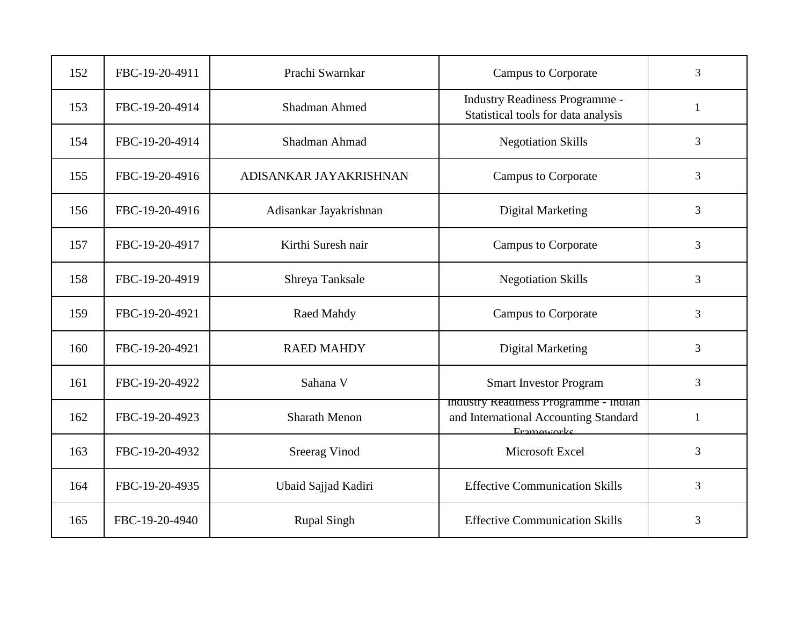| 152 | FBC-19-20-4911 | Prachi Swarnkar        | <b>Campus to Corporate</b>                                                                   | 3            |
|-----|----------------|------------------------|----------------------------------------------------------------------------------------------|--------------|
| 153 | FBC-19-20-4914 | <b>Shadman Ahmed</b>   | <b>Industry Readiness Programme -</b><br>Statistical tools for data analysis                 | $\mathbf{1}$ |
| 154 | FBC-19-20-4914 | Shadman Ahmad          | <b>Negotiation Skills</b>                                                                    | 3            |
| 155 | FBC-19-20-4916 | ADISANKAR JAYAKRISHNAN | <b>Campus to Corporate</b>                                                                   | 3            |
| 156 | FBC-19-20-4916 | Adisankar Jayakrishnan | <b>Digital Marketing</b>                                                                     | 3            |
| 157 | FBC-19-20-4917 | Kirthi Suresh nair     | <b>Campus to Corporate</b>                                                                   | 3            |
| 158 | FBC-19-20-4919 | Shreya Tanksale        | <b>Negotiation Skills</b>                                                                    | 3            |
| 159 | FBC-19-20-4921 | Raed Mahdy             | <b>Campus to Corporate</b>                                                                   | 3            |
| 160 | FBC-19-20-4921 | <b>RAED MAHDY</b>      | <b>Digital Marketing</b>                                                                     | 3            |
| 161 | FBC-19-20-4922 | Sahana V               | <b>Smart Investor Program</b>                                                                | 3            |
| 162 | FBC-19-20-4923 | <b>Sharath Menon</b>   | Industry Readiness Programme - Indian<br>and International Accounting Standard<br>Frameworks | $\mathbf{1}$ |
| 163 | FBC-19-20-4932 | <b>Sreerag Vinod</b>   | Microsoft Excel                                                                              | 3            |
| 164 | FBC-19-20-4935 | Ubaid Sajjad Kadiri    | <b>Effective Communication Skills</b>                                                        | 3            |
| 165 | FBC-19-20-4940 | <b>Rupal Singh</b>     | <b>Effective Communication Skills</b>                                                        | 3            |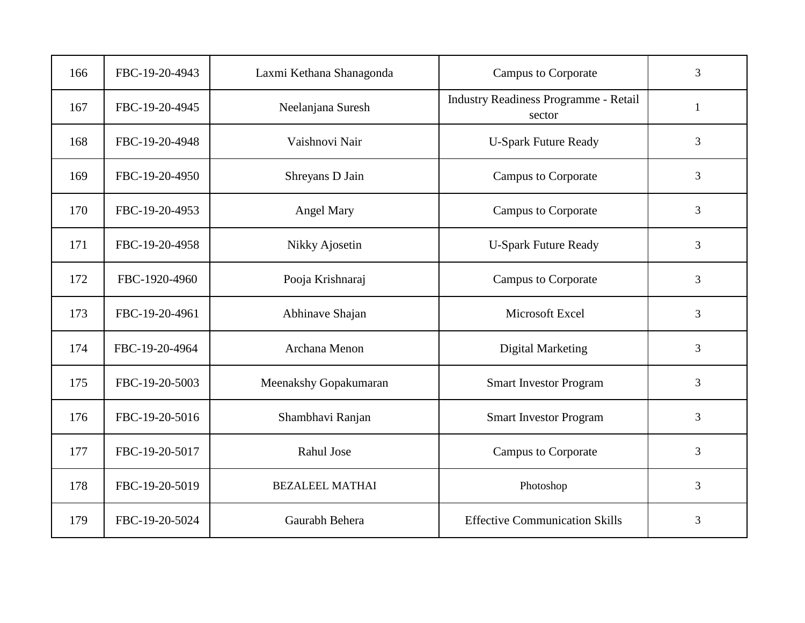| 166 | FBC-19-20-4943 | Laxmi Kethana Shanagonda | <b>Campus to Corporate</b>                             | 3            |
|-----|----------------|--------------------------|--------------------------------------------------------|--------------|
| 167 | FBC-19-20-4945 | Neelanjana Suresh        | <b>Industry Readiness Programme - Retail</b><br>sector | $\mathbf{1}$ |
| 168 | FBC-19-20-4948 | Vaishnovi Nair           | <b>U-Spark Future Ready</b>                            | 3            |
| 169 | FBC-19-20-4950 | Shreyans D Jain          | <b>Campus to Corporate</b>                             | 3            |
| 170 | FBC-19-20-4953 | Angel Mary               | <b>Campus to Corporate</b>                             | 3            |
| 171 | FBC-19-20-4958 | Nikky Ajosetin           | <b>U-Spark Future Ready</b>                            | 3            |
| 172 | FBC-1920-4960  | Pooja Krishnaraj         | <b>Campus to Corporate</b>                             | 3            |
| 173 | FBC-19-20-4961 | Abhinave Shajan          | Microsoft Excel                                        | 3            |
| 174 | FBC-19-20-4964 | Archana Menon            | <b>Digital Marketing</b>                               | 3            |
| 175 | FBC-19-20-5003 | Meenakshy Gopakumaran    | <b>Smart Investor Program</b>                          | 3            |
| 176 | FBC-19-20-5016 | Shambhavi Ranjan         | <b>Smart Investor Program</b>                          | 3            |
| 177 | FBC-19-20-5017 | Rahul Jose               | <b>Campus to Corporate</b>                             | 3            |
| 178 | FBC-19-20-5019 | <b>BEZALEEL MATHAI</b>   | Photoshop                                              | 3            |
| 179 | FBC-19-20-5024 | Gaurabh Behera           | <b>Effective Communication Skills</b>                  | 3            |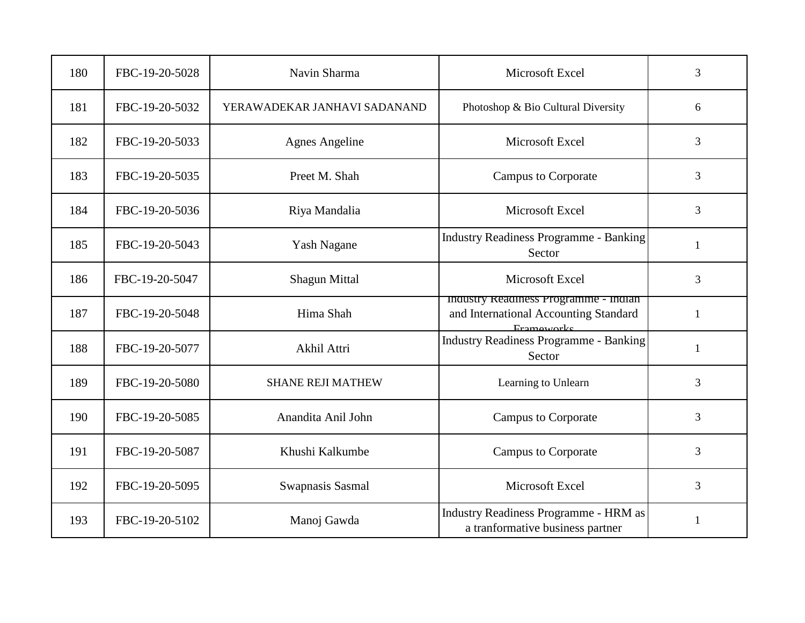| 180 | FBC-19-20-5028 | Navin Sharma                 | Microsoft Excel                                                                            | $\overline{3}$ |
|-----|----------------|------------------------------|--------------------------------------------------------------------------------------------|----------------|
| 181 | FBC-19-20-5032 | YERAWADEKAR JANHAVI SADANAND | Photoshop & Bio Cultural Diversity                                                         | 6              |
| 182 | FBC-19-20-5033 | <b>Agnes Angeline</b>        | Microsoft Excel                                                                            | 3              |
| 183 | FBC-19-20-5035 | Preet M. Shah                | <b>Campus to Corporate</b>                                                                 | $\overline{3}$ |
| 184 | FBC-19-20-5036 | Riya Mandalia                | Microsoft Excel                                                                            | 3              |
| 185 | FBC-19-20-5043 | <b>Yash Nagane</b>           | <b>Industry Readiness Programme - Banking</b><br>Sector                                    | 1              |
| 186 | FBC-19-20-5047 | <b>Shagun Mittal</b>         | Microsoft Excel                                                                            | $\overline{3}$ |
| 187 | FBC-19-20-5048 | Hima Shah                    | maustry Readiness Programme - maian<br>and International Accounting Standard<br>Frameworks | $\mathbf{1}$   |
| 188 | FBC-19-20-5077 | Akhil Attri                  | <b>Industry Readiness Programme - Banking</b><br>Sector                                    | 1              |
| 189 | FBC-19-20-5080 | <b>SHANE REJI MATHEW</b>     | Learning to Unlearn                                                                        | 3              |
| 190 | FBC-19-20-5085 | Anandita Anil John           | <b>Campus to Corporate</b>                                                                 | 3              |
| 191 | FBC-19-20-5087 | Khushi Kalkumbe              | <b>Campus to Corporate</b>                                                                 | 3              |
| 192 | FBC-19-20-5095 | Swapnasis Sasmal             | Microsoft Excel                                                                            | $\overline{3}$ |
| 193 | FBC-19-20-5102 | Manoj Gawda                  | Industry Readiness Programme - HRM as<br>a tranformative business partner                  | 1              |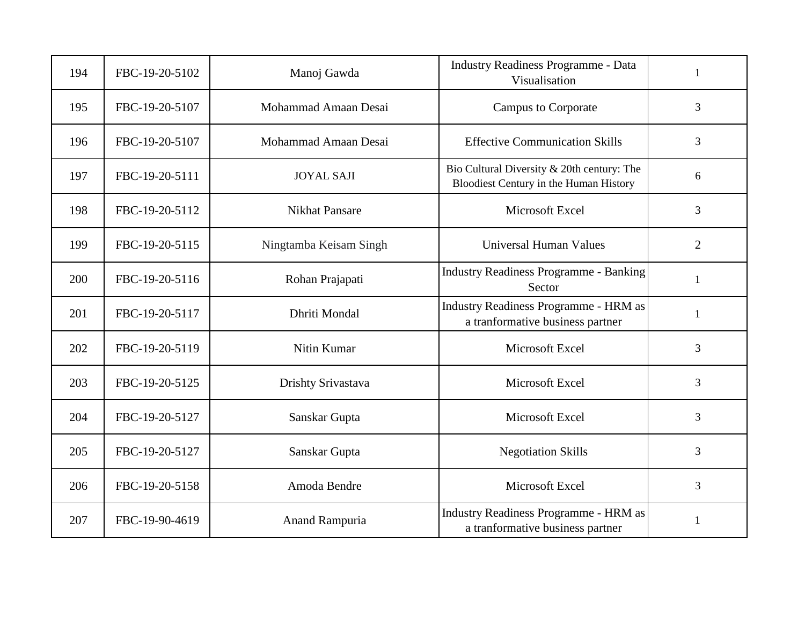| 194 | FBC-19-20-5102 | Manoj Gawda            | <b>Industry Readiness Programme - Data</b><br>Visualisation                          | $\mathbf{1}$   |
|-----|----------------|------------------------|--------------------------------------------------------------------------------------|----------------|
| 195 | FBC-19-20-5107 | Mohammad Amaan Desai   | <b>Campus to Corporate</b>                                                           | 3              |
| 196 | FBC-19-20-5107 | Mohammad Amaan Desai   | <b>Effective Communication Skills</b>                                                | 3              |
| 197 | FBC-19-20-5111 | <b>JOYAL SAJI</b>      | Bio Cultural Diversity & 20th century: The<br>Bloodiest Century in the Human History | 6              |
| 198 | FBC-19-20-5112 | <b>Nikhat Pansare</b>  | Microsoft Excel                                                                      | 3              |
| 199 | FBC-19-20-5115 | Ningtamba Keisam Singh | Universal Human Values                                                               | $\overline{2}$ |
| 200 | FBC-19-20-5116 | Rohan Prajapati        | <b>Industry Readiness Programme - Banking</b><br>Sector                              | 1              |
| 201 | FBC-19-20-5117 | Dhriti Mondal          | <b>Industry Readiness Programme - HRM as</b><br>a tranformative business partner     | $\mathbf{1}$   |
| 202 | FBC-19-20-5119 | Nitin Kumar            | Microsoft Excel                                                                      | 3              |
| 203 | FBC-19-20-5125 | Drishty Srivastava     | Microsoft Excel                                                                      | 3              |
| 204 | FBC-19-20-5127 | Sanskar Gupta          | Microsoft Excel                                                                      | 3              |
| 205 | FBC-19-20-5127 | Sanskar Gupta          | <b>Negotiation Skills</b>                                                            | 3              |
| 206 | FBC-19-20-5158 | Amoda Bendre           | Microsoft Excel                                                                      | $\overline{3}$ |
| 207 | FBC-19-90-4619 | <b>Anand Rampuria</b>  | <b>Industry Readiness Programme - HRM as</b><br>a tranformative business partner     | $\mathbf{1}$   |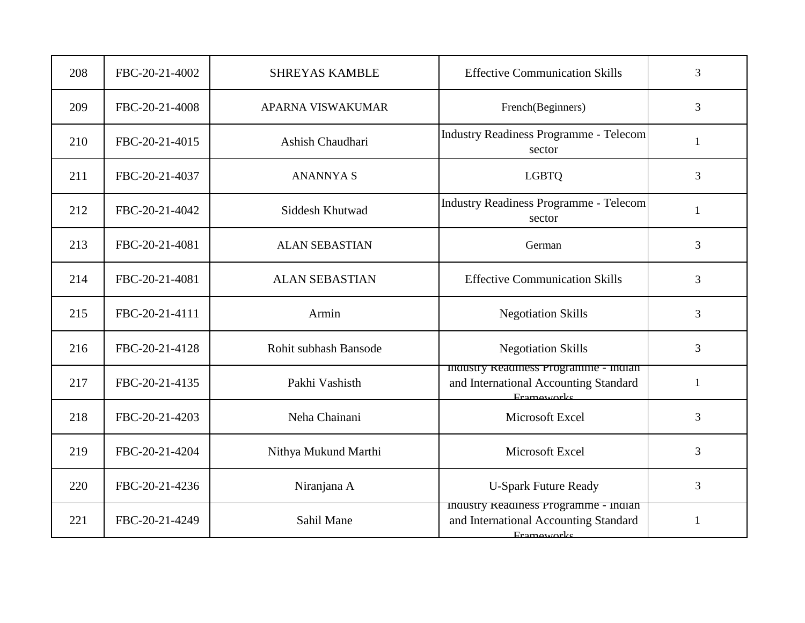| 208 | FBC-20-21-4002 | <b>SHREYAS KAMBLE</b>    | <b>Effective Communication Skills</b>                                                               | 3            |
|-----|----------------|--------------------------|-----------------------------------------------------------------------------------------------------|--------------|
| 209 | FBC-20-21-4008 | <b>APARNA VISWAKUMAR</b> | French(Beginners)                                                                                   | 3            |
| 210 | FBC-20-21-4015 | Ashish Chaudhari         | <b>Industry Readiness Programme - Telecom</b><br>sector                                             | 1            |
| 211 | FBC-20-21-4037 | <b>ANANNYA S</b>         | <b>LGBTQ</b>                                                                                        | 3            |
| 212 | FBC-20-21-4042 | Siddesh Khutwad          | <b>Industry Readiness Programme - Telecom</b><br>sector                                             | $\mathbf{1}$ |
| 213 | FBC-20-21-4081 | <b>ALAN SEBASTIAN</b>    | German                                                                                              | 3            |
| 214 | FBC-20-21-4081 | <b>ALAN SEBASTIAN</b>    | <b>Effective Communication Skills</b>                                                               | 3            |
| 215 | FBC-20-21-4111 | Armin                    | <b>Negotiation Skills</b>                                                                           | 3            |
| 216 | FBC-20-21-4128 | Rohit subhash Bansode    | <b>Negotiation Skills</b>                                                                           | 3            |
| 217 | FBC-20-21-4135 | Pakhi Vashisth           | Industry Readiness Programme - Indian<br>and International Accounting Standard<br>Frameworks        | 1            |
| 218 | FBC-20-21-4203 | Neha Chainani            | Microsoft Excel                                                                                     | 3            |
| 219 | FBC-20-21-4204 | Nithya Mukund Marthi     | Microsoft Excel                                                                                     | 3            |
| 220 | FBC-20-21-4236 | Niranjana A              | <b>U-Spark Future Ready</b>                                                                         | 3            |
| 221 | FBC-20-21-4249 | Sahil Mane               | Industry Readiness Programme - Indian<br>and International Accounting Standard<br><b>Frameworks</b> | 1            |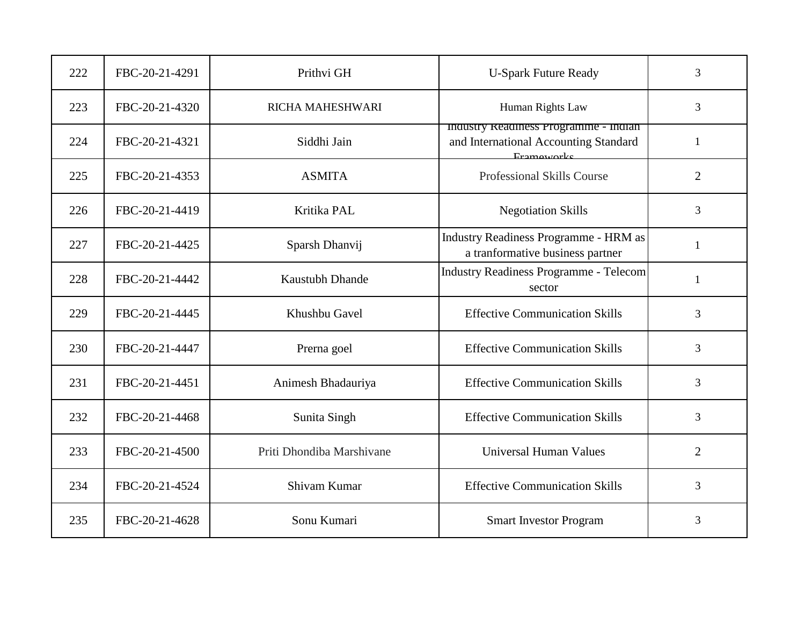| 222 | FBC-20-21-4291 | Prithvi GH                | <b>U-Spark Future Ready</b>                                                                  | 3              |
|-----|----------------|---------------------------|----------------------------------------------------------------------------------------------|----------------|
| 223 | FBC-20-21-4320 | RICHA MAHESHWARI          | Human Rights Law                                                                             | 3              |
| 224 | FBC-20-21-4321 | Siddhi Jain               | Industry Readiness Programme - Indian<br>and International Accounting Standard<br>Frameworks | $\mathbf{1}$   |
| 225 | FBC-20-21-4353 | <b>ASMITA</b>             | Professional Skills Course                                                                   | $\overline{2}$ |
| 226 | FBC-20-21-4419 | Kritika PAL               | <b>Negotiation Skills</b>                                                                    | 3              |
| 227 | FBC-20-21-4425 | Sparsh Dhanvij            | <b>Industry Readiness Programme - HRM as</b><br>a tranformative business partner             | 1              |
| 228 | FBC-20-21-4442 | Kaustubh Dhande           | <b>Industry Readiness Programme - Telecom</b><br>sector                                      | $\mathbf{1}$   |
| 229 | FBC-20-21-4445 | Khushbu Gavel             | <b>Effective Communication Skills</b>                                                        | 3              |
| 230 | FBC-20-21-4447 | Prerna goel               | <b>Effective Communication Skills</b>                                                        | 3              |
| 231 | FBC-20-21-4451 | Animesh Bhadauriya        | <b>Effective Communication Skills</b>                                                        | 3              |
| 232 | FBC-20-21-4468 | Sunita Singh              | <b>Effective Communication Skills</b>                                                        | $\overline{3}$ |
| 233 | FBC-20-21-4500 | Priti Dhondiba Marshivane | <b>Universal Human Values</b>                                                                | $\overline{2}$ |
| 234 | FBC-20-21-4524 | Shivam Kumar              | <b>Effective Communication Skills</b>                                                        | $\overline{3}$ |
| 235 | FBC-20-21-4628 | Sonu Kumari               | <b>Smart Investor Program</b>                                                                | 3              |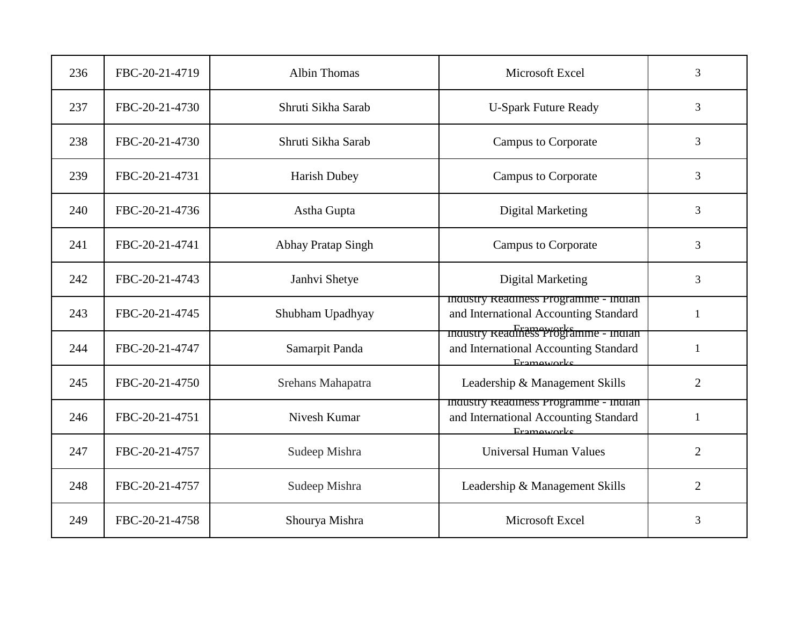| 236 | FBC-20-21-4719 | <b>Albin Thomas</b>       | Microsoft Excel                                                                                                     | $\overline{3}$ |
|-----|----------------|---------------------------|---------------------------------------------------------------------------------------------------------------------|----------------|
| 237 | FBC-20-21-4730 | Shruti Sikha Sarab        | <b>U-Spark Future Ready</b>                                                                                         | 3              |
| 238 | FBC-20-21-4730 | Shruti Sikha Sarab        | <b>Campus to Corporate</b>                                                                                          | 3              |
| 239 | FBC-20-21-4731 | <b>Harish Dubey</b>       | <b>Campus to Corporate</b>                                                                                          | $\overline{3}$ |
| 240 | FBC-20-21-4736 | Astha Gupta               | <b>Digital Marketing</b>                                                                                            | 3              |
| 241 | FBC-20-21-4741 | <b>Abhay Pratap Singh</b> | <b>Campus to Corporate</b>                                                                                          | 3              |
| 242 | FBC-20-21-4743 | Janhvi Shetye             | <b>Digital Marketing</b>                                                                                            | $\overline{3}$ |
| 243 | FBC-20-21-4745 | Shubham Upadhyay          | maustry Readiness Programme - maian<br>and International Accounting Standard<br>maustry Readiness Programme - maian | $\mathbf{1}$   |
| 244 | FBC-20-21-4747 | Samarpit Panda            | and International Accounting Standard<br>Frameworks                                                                 | 1              |
| 245 | FBC-20-21-4750 | Srehans Mahapatra         | Leadership & Management Skills                                                                                      | $\overline{2}$ |
| 246 | FBC-20-21-4751 | Nivesh Kumar              | Industry Readiness Programme - Indian<br>and International Accounting Standard<br>Frameworks                        | $\mathbf{1}$   |
| 247 | FBC-20-21-4757 | Sudeep Mishra             | <b>Universal Human Values</b>                                                                                       | $\overline{2}$ |
| 248 | FBC-20-21-4757 | Sudeep Mishra             | Leadership & Management Skills                                                                                      | $\overline{2}$ |
| 249 | FBC-20-21-4758 | Shourya Mishra            | Microsoft Excel                                                                                                     | 3              |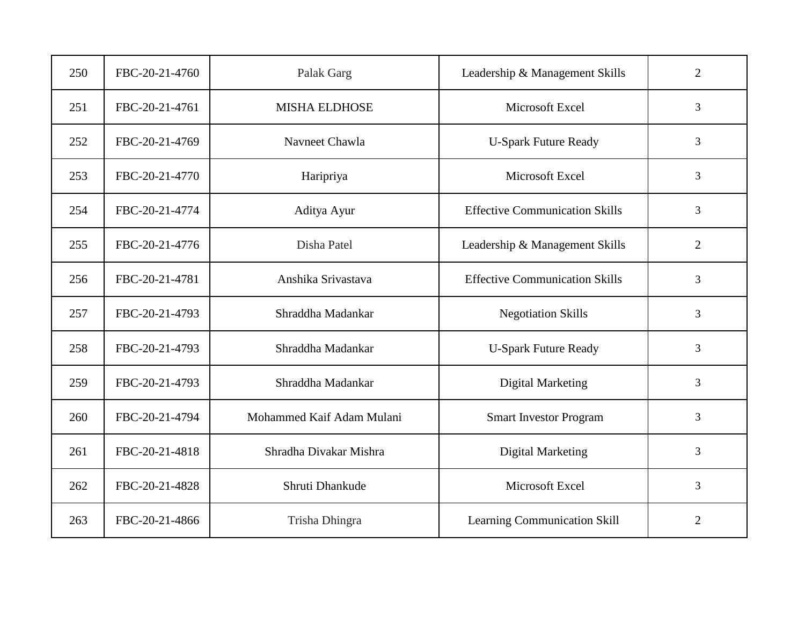| 250 | FBC-20-21-4760 | Palak Garg                | Leadership & Management Skills        | $\overline{2}$ |
|-----|----------------|---------------------------|---------------------------------------|----------------|
| 251 | FBC-20-21-4761 | <b>MISHA ELDHOSE</b>      | Microsoft Excel                       | 3              |
| 252 | FBC-20-21-4769 | Navneet Chawla            | <b>U-Spark Future Ready</b>           | 3              |
| 253 | FBC-20-21-4770 | Haripriya                 | Microsoft Excel                       | $\overline{3}$ |
| 254 | FBC-20-21-4774 | Aditya Ayur               | <b>Effective Communication Skills</b> | 3              |
| 255 | FBC-20-21-4776 | Disha Patel               | Leadership & Management Skills        | $\overline{2}$ |
| 256 | FBC-20-21-4781 | Anshika Srivastava        | <b>Effective Communication Skills</b> | 3              |
| 257 | FBC-20-21-4793 | Shraddha Madankar         | <b>Negotiation Skills</b>             | 3              |
| 258 | FBC-20-21-4793 | Shraddha Madankar         | <b>U-Spark Future Ready</b>           | 3              |
| 259 | FBC-20-21-4793 | Shraddha Madankar         | <b>Digital Marketing</b>              | 3              |
| 260 | FBC-20-21-4794 | Mohammed Kaif Adam Mulani | <b>Smart Investor Program</b>         | 3              |
| 261 | FBC-20-21-4818 | Shradha Divakar Mishra    | <b>Digital Marketing</b>              | 3              |
| 262 | FBC-20-21-4828 | Shruti Dhankude           | Microsoft Excel                       | 3              |
| 263 | FBC-20-21-4866 | Trisha Dhingra            | Learning Communication Skill          | $\overline{2}$ |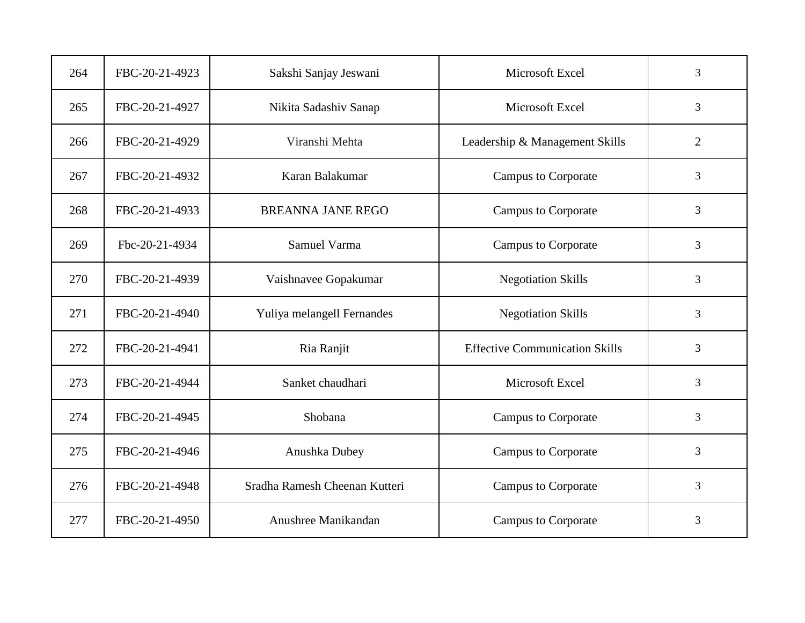| 264 | FBC-20-21-4923 | Sakshi Sanjay Jeswani         | Microsoft Excel                       | 3              |
|-----|----------------|-------------------------------|---------------------------------------|----------------|
| 265 | FBC-20-21-4927 | Nikita Sadashiv Sanap         | Microsoft Excel                       | 3              |
| 266 | FBC-20-21-4929 | Viranshi Mehta                | Leadership & Management Skills        | $\overline{2}$ |
| 267 | FBC-20-21-4932 | Karan Balakumar               | <b>Campus to Corporate</b>            | 3              |
| 268 | FBC-20-21-4933 | <b>BREANNA JANE REGO</b>      | <b>Campus to Corporate</b>            | 3              |
| 269 | Fbc-20-21-4934 | Samuel Varma                  | <b>Campus to Corporate</b>            | 3              |
| 270 | FBC-20-21-4939 | Vaishnavee Gopakumar          | <b>Negotiation Skills</b>             | 3              |
| 271 | FBC-20-21-4940 | Yuliya melangell Fernandes    | <b>Negotiation Skills</b>             | 3              |
| 272 | FBC-20-21-4941 | Ria Ranjit                    | <b>Effective Communication Skills</b> | 3              |
| 273 | FBC-20-21-4944 | Sanket chaudhari              | Microsoft Excel                       | $\overline{3}$ |
| 274 | FBC-20-21-4945 | Shobana                       | <b>Campus to Corporate</b>            | 3              |
| 275 | FBC-20-21-4946 | Anushka Dubey                 | <b>Campus to Corporate</b>            | 3              |
| 276 | FBC-20-21-4948 | Sradha Ramesh Cheenan Kutteri | <b>Campus to Corporate</b>            | $\overline{3}$ |
| 277 | FBC-20-21-4950 | Anushree Manikandan           | <b>Campus to Corporate</b>            | 3              |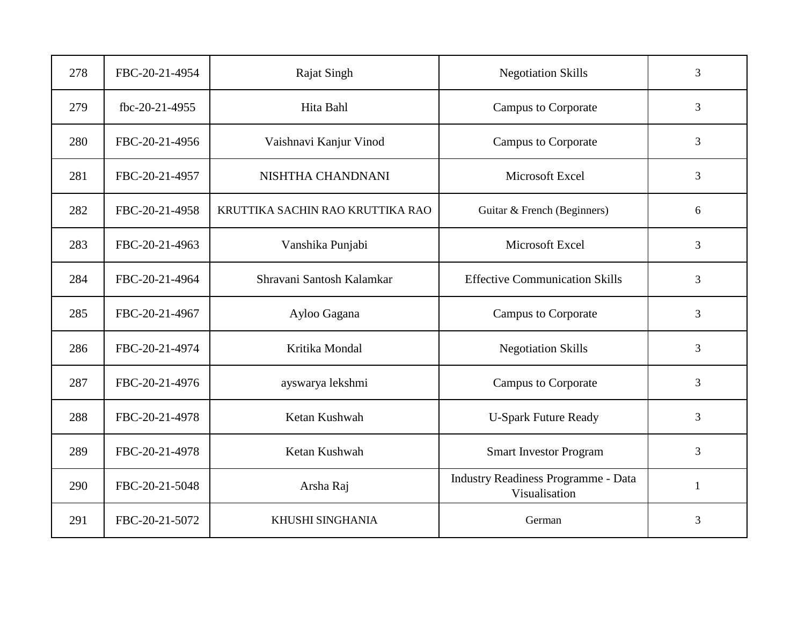| 278 | FBC-20-21-4954 | <b>Rajat Singh</b>               | <b>Negotiation Skills</b>                                   | 3            |
|-----|----------------|----------------------------------|-------------------------------------------------------------|--------------|
| 279 | fbc-20-21-4955 | Hita Bahl                        | <b>Campus to Corporate</b>                                  | 3            |
| 280 | FBC-20-21-4956 | Vaishnavi Kanjur Vinod           | <b>Campus to Corporate</b>                                  | 3            |
| 281 | FBC-20-21-4957 | NISHTHA CHANDNANI                | Microsoft Excel                                             | 3            |
| 282 | FBC-20-21-4958 | KRUTTIKA SACHIN RAO KRUTTIKA RAO | Guitar & French (Beginners)                                 | 6            |
| 283 | FBC-20-21-4963 | Vanshika Punjabi                 | Microsoft Excel                                             | 3            |
| 284 | FBC-20-21-4964 | Shravani Santosh Kalamkar        | <b>Effective Communication Skills</b>                       | 3            |
| 285 | FBC-20-21-4967 | Ayloo Gagana                     | <b>Campus to Corporate</b>                                  | 3            |
| 286 | FBC-20-21-4974 | Kritika Mondal                   | <b>Negotiation Skills</b>                                   | 3            |
| 287 | FBC-20-21-4976 | ayswarya lekshmi                 | <b>Campus to Corporate</b>                                  | 3            |
| 288 | FBC-20-21-4978 | Ketan Kushwah                    | <b>U-Spark Future Ready</b>                                 | 3            |
| 289 | FBC-20-21-4978 | Ketan Kushwah                    | <b>Smart Investor Program</b>                               | 3            |
| 290 | FBC-20-21-5048 | Arsha Raj                        | <b>Industry Readiness Programme - Data</b><br>Visualisation | $\mathbf{1}$ |
| 291 | FBC-20-21-5072 | KHUSHI SINGHANIA                 | German                                                      | 3            |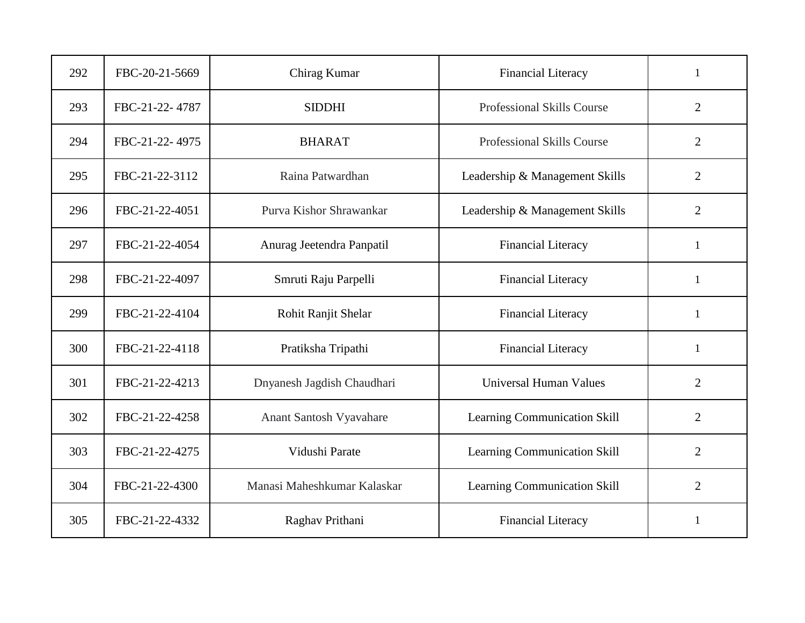| 292 | FBC-20-21-5669 | Chirag Kumar                | <b>Financial Literacy</b>           | 1              |
|-----|----------------|-----------------------------|-------------------------------------|----------------|
| 293 | FBC-21-22-4787 | <b>SIDDHI</b>               | Professional Skills Course          | $\overline{2}$ |
| 294 | FBC-21-22-4975 | <b>BHARAT</b>               | Professional Skills Course          | $\overline{2}$ |
| 295 | FBC-21-22-3112 | Raina Patwardhan            | Leadership & Management Skills      | $\overline{2}$ |
| 296 | FBC-21-22-4051 | Purva Kishor Shrawankar     | Leadership & Management Skills      | $\overline{2}$ |
| 297 | FBC-21-22-4054 | Anurag Jeetendra Panpatil   | <b>Financial Literacy</b>           | 1              |
| 298 | FBC-21-22-4097 | Smruti Raju Parpelli        | <b>Financial Literacy</b>           | 1              |
| 299 | FBC-21-22-4104 | Rohit Ranjit Shelar         | Financial Literacy                  | 1              |
| 300 | FBC-21-22-4118 | Pratiksha Tripathi          | <b>Financial Literacy</b>           | 1              |
| 301 | FBC-21-22-4213 | Dnyanesh Jagdish Chaudhari  | <b>Universal Human Values</b>       | $\overline{2}$ |
| 302 | FBC-21-22-4258 | Anant Santosh Vyavahare     | Learning Communication Skill        | $\overline{2}$ |
| 303 | FBC-21-22-4275 | Vidushi Parate              | Learning Communication Skill        | $\overline{2}$ |
| 304 | FBC-21-22-4300 | Manasi Maheshkumar Kalaskar | <b>Learning Communication Skill</b> | $\overline{2}$ |
| 305 | FBC-21-22-4332 | Raghav Prithani             | <b>Financial Literacy</b>           | 1              |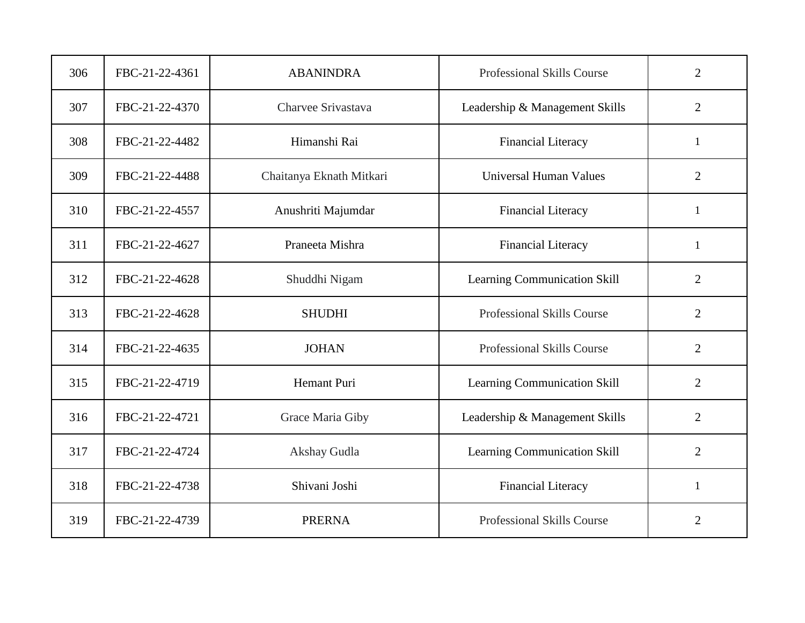| 306 | FBC-21-22-4361 | <b>ABANINDRA</b>         | Professional Skills Course        | $\overline{2}$ |
|-----|----------------|--------------------------|-----------------------------------|----------------|
| 307 | FBC-21-22-4370 | Charvee Srivastava       | Leadership & Management Skills    | $\overline{2}$ |
| 308 | FBC-21-22-4482 | Himanshi Rai             | <b>Financial Literacy</b>         | 1              |
| 309 | FBC-21-22-4488 | Chaitanya Eknath Mitkari | <b>Universal Human Values</b>     | $\overline{2}$ |
| 310 | FBC-21-22-4557 | Anushriti Majumdar       | <b>Financial Literacy</b>         | $\mathbf{1}$   |
| 311 | FBC-21-22-4627 | Praneeta Mishra          | <b>Financial Literacy</b>         | 1              |
| 312 | FBC-21-22-4628 | Shuddhi Nigam            | Learning Communication Skill      | $\overline{2}$ |
| 313 | FBC-21-22-4628 | <b>SHUDHI</b>            | <b>Professional Skills Course</b> | $\overline{2}$ |
| 314 | FBC-21-22-4635 | <b>JOHAN</b>             | Professional Skills Course        | $\overline{2}$ |
| 315 | FBC-21-22-4719 | Hemant Puri              | Learning Communication Skill      | $\overline{2}$ |
| 316 | FBC-21-22-4721 | Grace Maria Giby         | Leadership & Management Skills    | $\overline{2}$ |
| 317 | FBC-21-22-4724 | Akshay Gudla             | Learning Communication Skill      | $\overline{2}$ |
| 318 | FBC-21-22-4738 | Shivani Joshi            | <b>Financial Literacy</b>         | $\mathbf{1}$   |
| 319 | FBC-21-22-4739 | <b>PRERNA</b>            | Professional Skills Course        | $\overline{2}$ |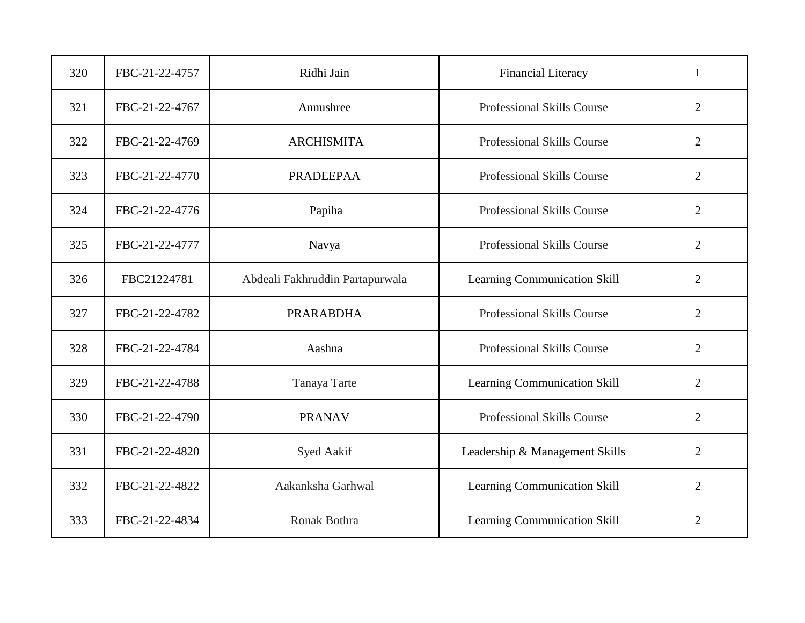| 320 | FBC-21-22-4757 | Ridhi Jain                      | <b>Financial Literacy</b>      | $\mathbf{1}$   |
|-----|----------------|---------------------------------|--------------------------------|----------------|
| 321 | FBC-21-22-4767 | Annushree                       | Professional Skills Course     | $\overline{2}$ |
| 322 | FBC-21-22-4769 | <b>ARCHISMITA</b>               | Professional Skills Course     | $\overline{2}$ |
| 323 | FBC-21-22-4770 | <b>PRADEEPAA</b>                | Professional Skills Course     | $\overline{2}$ |
| 324 | FBC-21-22-4776 | Papiha                          | Professional Skills Course     | $\overline{2}$ |
| 325 | FBC-21-22-4777 | Navya                           | Professional Skills Course     | $\overline{2}$ |
| 326 | FBC21224781    | Abdeali Fakhruddin Partapurwala | Learning Communication Skill   | $\overline{2}$ |
| 327 | FBC-21-22-4782 | <b>PRARABDHA</b>                | Professional Skills Course     | $\overline{2}$ |
| 328 | FBC-21-22-4784 | Aashna                          | Professional Skills Course     | $\overline{2}$ |
| 329 | FBC-21-22-4788 | Tanaya Tarte                    | Learning Communication Skill   | $\overline{2}$ |
| 330 | FBC-21-22-4790 | <b>PRANAV</b>                   | Professional Skills Course     | $\overline{2}$ |
| 331 | FBC-21-22-4820 | Syed Aakif                      | Leadership & Management Skills | $\overline{2}$ |
| 332 | FBC-21-22-4822 | Aakanksha Garhwal               | Learning Communication Skill   | $\overline{2}$ |
| 333 | FBC-21-22-4834 | Ronak Bothra                    | Learning Communication Skill   | $\overline{2}$ |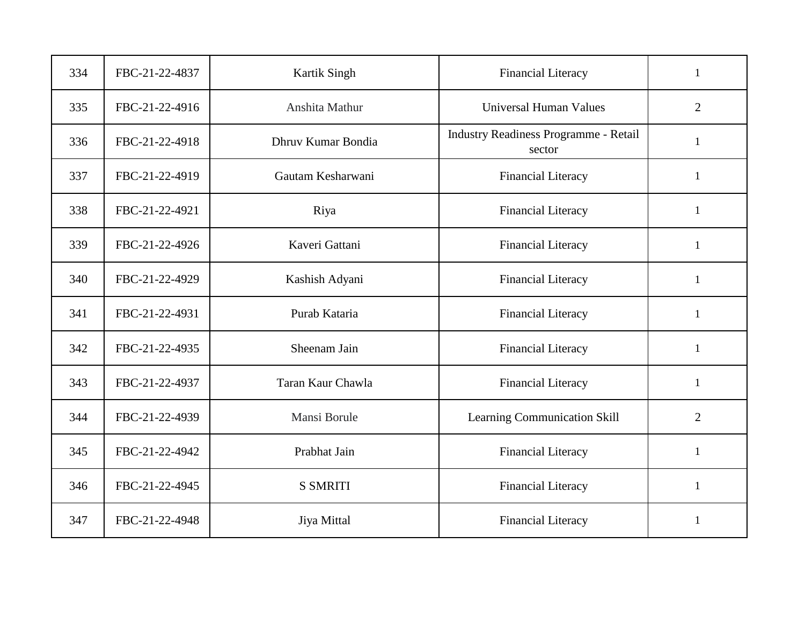| 334 | FBC-21-22-4837 | Kartik Singh       | <b>Financial Literacy</b>                       | $\mathbf{1}$   |
|-----|----------------|--------------------|-------------------------------------------------|----------------|
| 335 | FBC-21-22-4916 | Anshita Mathur     | <b>Universal Human Values</b>                   | $\overline{2}$ |
| 336 | FBC-21-22-4918 | Dhruv Kumar Bondia | Industry Readiness Programme - Retail<br>sector | 1              |
| 337 | FBC-21-22-4919 | Gautam Kesharwani  | <b>Financial Literacy</b>                       | $\mathbf{1}$   |
| 338 | FBC-21-22-4921 | Riya               | <b>Financial Literacy</b>                       | $\mathbf{1}$   |
| 339 | FBC-21-22-4926 | Kaveri Gattani     | <b>Financial Literacy</b>                       | 1              |
| 340 | FBC-21-22-4929 | Kashish Adyani     | <b>Financial Literacy</b>                       | $\mathbf{1}$   |
| 341 | FBC-21-22-4931 | Purab Kataria      | <b>Financial Literacy</b>                       | $\mathbf{1}$   |
| 342 | FBC-21-22-4935 | Sheenam Jain       | <b>Financial Literacy</b>                       | 1              |
| 343 | FBC-21-22-4937 | Taran Kaur Chawla  | <b>Financial Literacy</b>                       | $\mathbf{1}$   |
| 344 | FBC-21-22-4939 | Mansi Borule       | Learning Communication Skill                    | $\overline{2}$ |
| 345 | FBC-21-22-4942 | Prabhat Jain       | <b>Financial Literacy</b>                       | $\mathbf{1}$   |
| 346 | FBC-21-22-4945 | <b>S SMRITI</b>    | <b>Financial Literacy</b>                       | $\mathbf{1}$   |
| 347 | FBC-21-22-4948 | Jiya Mittal        | <b>Financial Literacy</b>                       | 1              |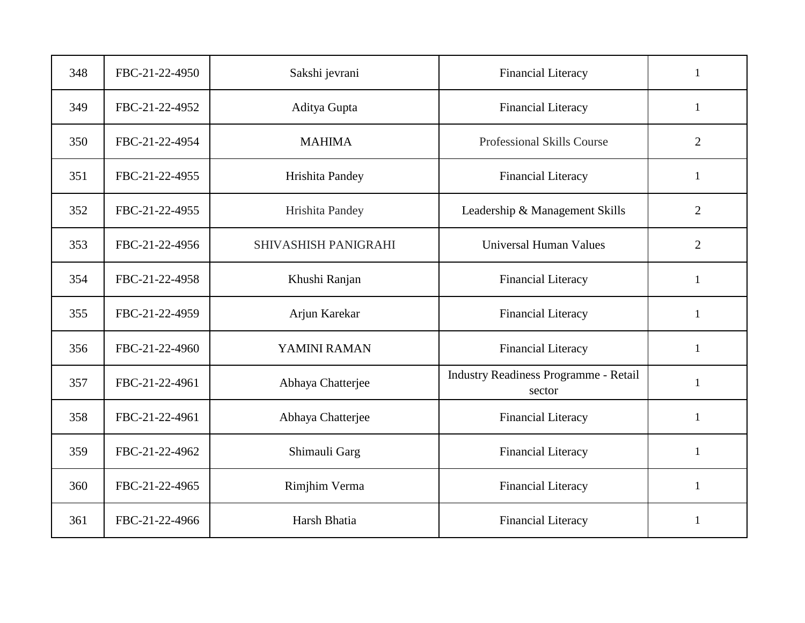| 348 | FBC-21-22-4950 | Sakshi jevrani              | <b>Financial Literacy</b>                       | 1              |
|-----|----------------|-----------------------------|-------------------------------------------------|----------------|
| 349 | FBC-21-22-4952 | Aditya Gupta                | <b>Financial Literacy</b>                       | $\mathbf{1}$   |
| 350 | FBC-21-22-4954 | <b>MAHIMA</b>               | Professional Skills Course                      | $\overline{2}$ |
| 351 | FBC-21-22-4955 | Hrishita Pandey             | <b>Financial Literacy</b>                       | $\mathbf{1}$   |
| 352 | FBC-21-22-4955 | Hrishita Pandey             | Leadership & Management Skills                  | $\overline{2}$ |
| 353 | FBC-21-22-4956 | <b>SHIVASHISH PANIGRAHI</b> | <b>Universal Human Values</b>                   | $\overline{2}$ |
| 354 | FBC-21-22-4958 | Khushi Ranjan               | <b>Financial Literacy</b>                       | $\mathbf{1}$   |
| 355 | FBC-21-22-4959 | Arjun Karekar               | <b>Financial Literacy</b>                       | $\mathbf{1}$   |
| 356 | FBC-21-22-4960 | YAMINI RAMAN                | <b>Financial Literacy</b>                       | 1              |
| 357 | FBC-21-22-4961 | Abhaya Chatterjee           | Industry Readiness Programme - Retail<br>sector | $\mathbf{1}$   |
| 358 | FBC-21-22-4961 | Abhaya Chatterjee           | <b>Financial Literacy</b>                       | $\mathbf{1}$   |
| 359 | FBC-21-22-4962 | Shimauli Garg               | <b>Financial Literacy</b>                       | $\mathbf{1}$   |
| 360 | FBC-21-22-4965 | Rimjhim Verma               | <b>Financial Literacy</b>                       | 1              |
| 361 | FBC-21-22-4966 | Harsh Bhatia                | <b>Financial Literacy</b>                       | $\mathbf{1}$   |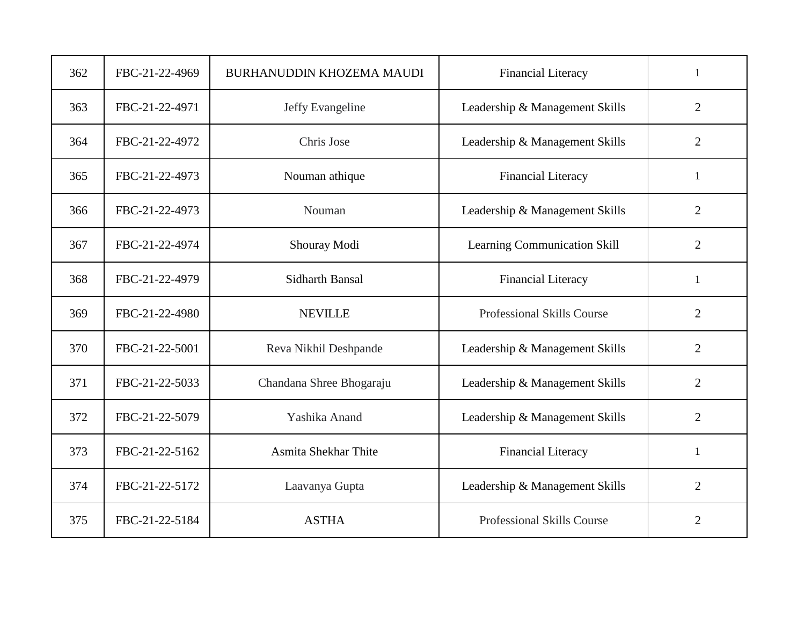| 362 | FBC-21-22-4969 | BURHANUDDIN KHOZEMA MAUDI | <b>Financial Literacy</b>         | $\mathbf{1}$   |
|-----|----------------|---------------------------|-----------------------------------|----------------|
| 363 | FBC-21-22-4971 | Jeffy Evangeline          | Leadership & Management Skills    | $\overline{2}$ |
| 364 | FBC-21-22-4972 | Chris Jose                | Leadership & Management Skills    | $\overline{2}$ |
| 365 | FBC-21-22-4973 | Nouman athique            | <b>Financial Literacy</b>         | $\mathbf{1}$   |
| 366 | FBC-21-22-4973 | Nouman                    | Leadership & Management Skills    | $\overline{2}$ |
| 367 | FBC-21-22-4974 | Shouray Modi              | Learning Communication Skill      | $\overline{2}$ |
| 368 | FBC-21-22-4979 | <b>Sidharth Bansal</b>    | <b>Financial Literacy</b>         | $\mathbf{1}$   |
| 369 | FBC-21-22-4980 | <b>NEVILLE</b>            | Professional Skills Course        | $\overline{2}$ |
| 370 | FBC-21-22-5001 | Reva Nikhil Deshpande     | Leadership & Management Skills    | $\overline{2}$ |
| 371 | FBC-21-22-5033 | Chandana Shree Bhogaraju  | Leadership & Management Skills    | $\overline{2}$ |
| 372 | FBC-21-22-5079 | Yashika Anand             | Leadership & Management Skills    | $\overline{2}$ |
| 373 | FBC-21-22-5162 | Asmita Shekhar Thite      | <b>Financial Literacy</b>         | $\mathbf{1}$   |
| 374 | FBC-21-22-5172 | Laavanya Gupta            | Leadership & Management Skills    | $\overline{2}$ |
| 375 | FBC-21-22-5184 | <b>ASTHA</b>              | <b>Professional Skills Course</b> | $\overline{2}$ |